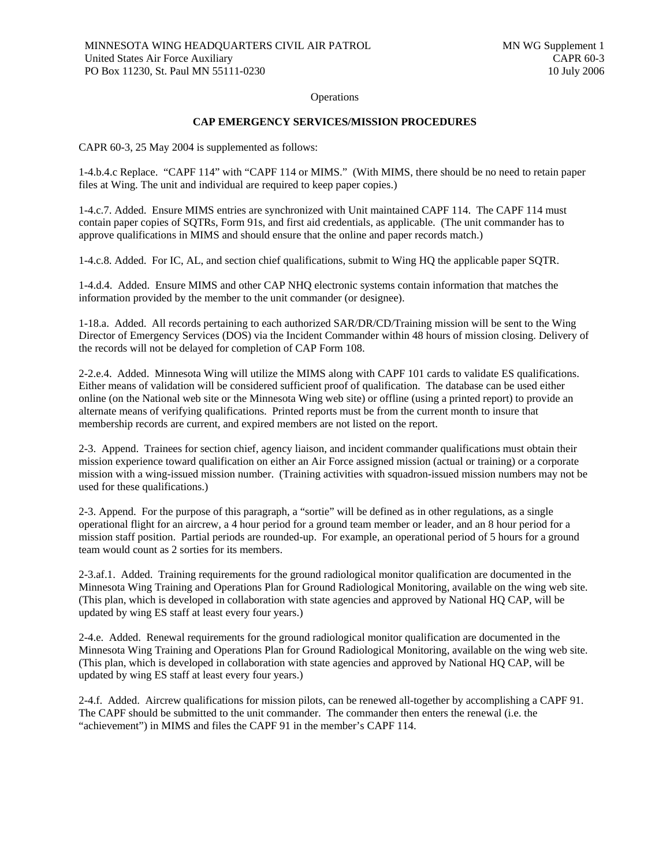**Operations** 

## **CAP EMERGENCY SERVICES/MISSION PROCEDURES**

CAPR 60-3, 25 May 2004 is supplemented as follows:

1-4.b.4.c Replace. "CAPF 114" with "CAPF 114 or MIMS." (With MIMS, there should be no need to retain paper files at Wing. The unit and individual are required to keep paper copies.)

1-4.c.7. Added. Ensure MIMS entries are synchronized with Unit maintained CAPF 114. The CAPF 114 must contain paper copies of SQTRs, Form 91s, and first aid credentials, as applicable. (The unit commander has to approve qualifications in MIMS and should ensure that the online and paper records match.)

1-4.c.8. Added. For IC, AL, and section chief qualifications, submit to Wing HQ the applicable paper SQTR.

1-4.d.4. Added. Ensure MIMS and other CAP NHQ electronic systems contain information that matches the information provided by the member to the unit commander (or designee).

1-18.a. Added. All records pertaining to each authorized SAR/DR/CD/Training mission will be sent to the Wing Director of Emergency Services (DOS) via the Incident Commander within 48 hours of mission closing. Delivery of the records will not be delayed for completion of CAP Form 108.

2-2.e.4. Added. Minnesota Wing will utilize the MIMS along with CAPF 101 cards to validate ES qualifications. Either means of validation will be considered sufficient proof of qualification. The database can be used either online (on the National web site or the Minnesota Wing web site) or offline (using a printed report) to provide an alternate means of verifying qualifications. Printed reports must be from the current month to insure that membership records are current, and expired members are not listed on the report.

2-3. Append. Trainees for section chief, agency liaison, and incident commander qualifications must obtain their mission experience toward qualification on either an Air Force assigned mission (actual or training) or a corporate mission with a wing-issued mission number. (Training activities with squadron-issued mission numbers may not be used for these qualifications.)

2-3. Append. For the purpose of this paragraph, a "sortie" will be defined as in other regulations, as a single operational flight for an aircrew, a 4 hour period for a ground team member or leader, and an 8 hour period for a mission staff position. Partial periods are rounded-up. For example, an operational period of 5 hours for a ground team would count as 2 sorties for its members.

2-3.af.1. Added. Training requirements for the ground radiological monitor qualification are documented in the Minnesota Wing Training and Operations Plan for Ground Radiological Monitoring, available on the wing web site. (This plan, which is developed in collaboration with state agencies and approved by National HQ CAP, will be updated by wing ES staff at least every four years.)

2-4.e. Added. Renewal requirements for the ground radiological monitor qualification are documented in the Minnesota Wing Training and Operations Plan for Ground Radiological Monitoring, available on the wing web site. (This plan, which is developed in collaboration with state agencies and approved by National HQ CAP, will be updated by wing ES staff at least every four years.)

2-4.f. Added. Aircrew qualifications for mission pilots, can be renewed all-together by accomplishing a CAPF 91. The CAPF should be submitted to the unit commander. The commander then enters the renewal (i.e. the "achievement") in MIMS and files the CAPF 91 in the member's CAPF 114.